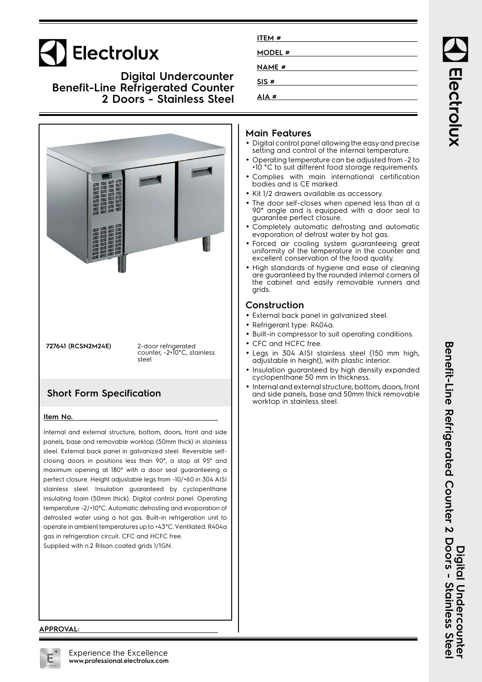# Electrolux

### **Digital Undercounter Benefit-Line Refrigerated Counter 2 Doors - Stainless Steel**



stainless steel. Insulation guaranteed by cyclopenthane insulating foam (50mm thick). Digital control panel. Operating temperature -2/+10°C. Automatic defrosting and evaporation of defrosted water using a hot gas. Built-in refrigeration unit to operate in ambient temperatures up to +43°C. Ventilated. R404a

| ITEM #  |  |
|---------|--|
| MODEL # |  |
| NAME #  |  |
|         |  |
| SIS#    |  |
| AIA #   |  |
|         |  |

### **Main Features**

- Digital control panel allowing the easy and precise setting and control of the internal temperature.
- • Operating temperature can be adjusted from -2 to +10 °C to suit different food storage requirements.
- • Complies with main international certification bodies and is CE marked.
- Kit 1/2 drawers available as accessory.
- • The door self-closes when opened less than at a 90° angle and is equipped with a door seal to guarantee perfect closure.
- • Completely automatic defrosting and automatic evaporation of defrost water by hot gas.
- Forced air cooling system guaranteeing great uniformity of the temperature in the counter and excellent conservation of the food quality.
- • High standards of hygiene and ease of cleaning are guaranteed by the rounded internal corners of the cabinet and easily removable runners and grids.

### **Construction**

- External back panel in galvanized steel.
- Refrigerant type: R404a.
- Built-in compressor to suit operating conditions.
- CFC and HCFC free.
- Legs in 304 AISI stainless steel (150 mm high, adjustable in height), with plastic interior.
- • Insulation guaranteed by high density expanded cyclopenthane 50 mm in thickness.
- • Internal and external structure, bottom, doors, front and side panels, base and 50mm thick removable worktop in stainless steel.

Electrolux

#### **APPROVAL:**

gas in refrigeration circuit. CFC and HCFC free. Supplied with n.2 Rilsan coated grids 1/1GN.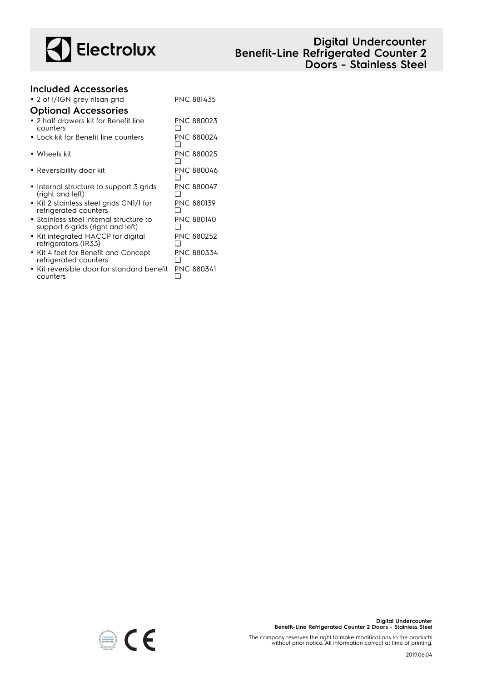

## **Digital Undercounter Benefit-Line Refrigerated Counter 2 Doors - Stainless Steel**

## **Included Accessories** • 2 of 1/1GN grey rilsan grid PNC 881435 **Optional Accessories**

❑

❑

 $\Box$ 

❑

PNC 880047

PNC 880139

PNC 880140

- 2 half drawers kit for Benefit line counters PNC 880023  $\Box$
- Lock kit for Benefit line counters PNC 880024  $\Box$
- Wheels kit PNC 880025 ❑
- Reversibility door kit PNC 880046
- Internal structure to support 3 grids (right and left)
- Kit 2 stainless steel grids GN1/1 for refrigerated counters
- Stainless steel internal structure to support 6 grids (right and left)
- Kit integrated HACCP for digital refrigerators (IR33) PNC 880252
- ❑ • Kit 4 feet for Benefit and Concept refrigerated counters PNC 880334 ❑
- Kit reversible door for standard benefit counters PNC 880341 ❑



The company reserves the right to make modifications to the products without prior notice. All information correct at time of printing.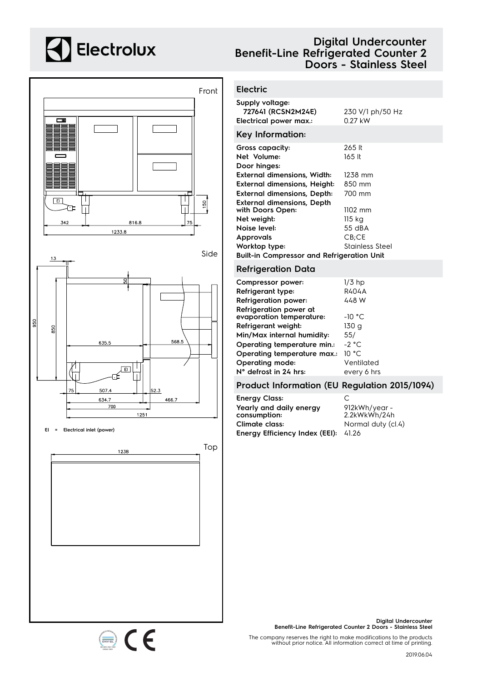## **A** Electrolux



## **Digital Undercounter Benefit-Line Refrigerated Counter 2 Doors - Stainless Steel**

### **Electric**

| Supply voltage:<br>727641 (RCSN2M24E)<br>Electrical power max.: | 230 V/1 ph/50 Hz<br>0.27 kW |  |
|-----------------------------------------------------------------|-----------------------------|--|
| Key Information:                                                |                             |  |
| Gross capacity:                                                 | 265 lt                      |  |
| Net Volume:                                                     | 165 lt                      |  |
| Door hinges:                                                    |                             |  |
| External dimensions, Width:                                     | 1238 mm                     |  |
| External dimensions, Height:                                    | 850 mm                      |  |
| <b>External dimensions, Depth:</b>                              | 700 mm                      |  |
| External dimensions, Depth                                      |                             |  |
| with Doors Open:                                                | 1102 mm                     |  |
| Net weight:                                                     | 115 kg                      |  |
| Noise level:                                                    | 55 dBA                      |  |
| Approvals                                                       | $CB$ ; $CE$                 |  |
| Worktop type:                                                   | Stainless Steel             |  |
| <b>Built-in Compressor and Refrigeration Unit</b>               |                             |  |

### **Refrigeration Data**

| Compressor power:           | $1/3$ hp    |
|-----------------------------|-------------|
| Refrigerant type:           | R404A       |
| <b>Refrigeration power:</b> | 448 W       |
| Refrigeration power at      |             |
| evaporation temperature:    | $-10 °C$    |
| Refrigerant weight:         | 130 g       |
| Min/Max internal humidity:  | 55/         |
| Operating temperature min.: | $-2 °C$     |
| Operating temperature max.: | 10 °C       |
| Operating mode:             | Ventilated  |
| N° defrost in 24 hrs:       | every 6 hrs |
|                             |             |

### **Product Information (EU Regulation 2015/1094)**

| <b>Energy Class:</b>                    | C                             |
|-----------------------------------------|-------------------------------|
| Yearly and daily energy<br>consumption: | 912kWh/year -<br>2.2kWkWh/24h |
| Climate class:                          | Normal duty (cl.4)            |
| Energy Efficiency Index (EEI):          | 41.26                         |



**Digital Undercounter Benefit-Line Refrigerated Counter 2 Doors - Stainless Steel**

The company reserves the right to make modifications to the products without prior notice. All information correct at time of printing.